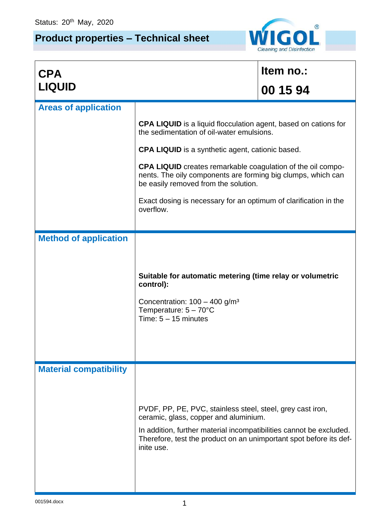## **Product properties – Technical sheet**



| <b>CPA</b>                    |                                                                                                                                                                                                                                                                | Item no.: |  |
|-------------------------------|----------------------------------------------------------------------------------------------------------------------------------------------------------------------------------------------------------------------------------------------------------------|-----------|--|
| <b>LIQUID</b>                 |                                                                                                                                                                                                                                                                | 00 15 94  |  |
| <b>Areas of application</b>   |                                                                                                                                                                                                                                                                |           |  |
|                               | <b>CPA LIQUID</b> is a liquid flocculation agent, based on cations for<br>the sedimentation of oil-water emulsions.                                                                                                                                            |           |  |
|                               | <b>CPA LIQUID</b> is a synthetic agent, cationic based.                                                                                                                                                                                                        |           |  |
|                               | <b>CPA LIQUID</b> creates remarkable coagulation of the oil compo-<br>nents. The oily components are forming big clumps, which can<br>be easily removed from the solution.                                                                                     |           |  |
|                               | Exact dosing is necessary for an optimum of clarification in the<br>overflow.                                                                                                                                                                                  |           |  |
| <b>Method of application</b>  |                                                                                                                                                                                                                                                                |           |  |
|                               | Suitable for automatic metering (time relay or volumetric<br>control):<br>Concentration: $100 - 400$ g/m <sup>3</sup><br>Temperature: $5 - 70^{\circ}$ C<br>Time: $5 - 15$ minutes                                                                             |           |  |
| <b>Material compatibility</b> | PVDF, PP, PE, PVC, stainless steel, steel, grey cast iron,<br>ceramic, glass, copper and aluminium.<br>In addition, further material incompatibilities cannot be excluded.<br>Therefore, test the product on an unimportant spot before its def-<br>inite use. |           |  |